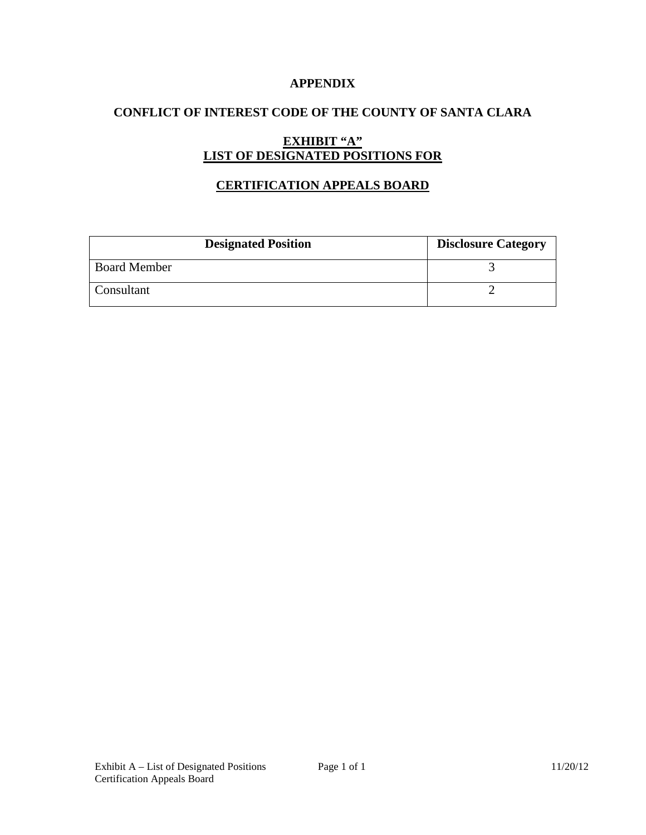### **APPENDIX**

# **CONFLICT OF INTEREST CODE OF THE COUNTY OF SANTA CLARA**

# **EXHIBIT "A" LIST OF DESIGNATED POSITIONS FOR**

## **CERTIFICATION APPEALS BOARD**

| <b>Designated Position</b> | <b>Disclosure Category</b> |
|----------------------------|----------------------------|
| <b>Board Member</b>        |                            |
| Consultant                 |                            |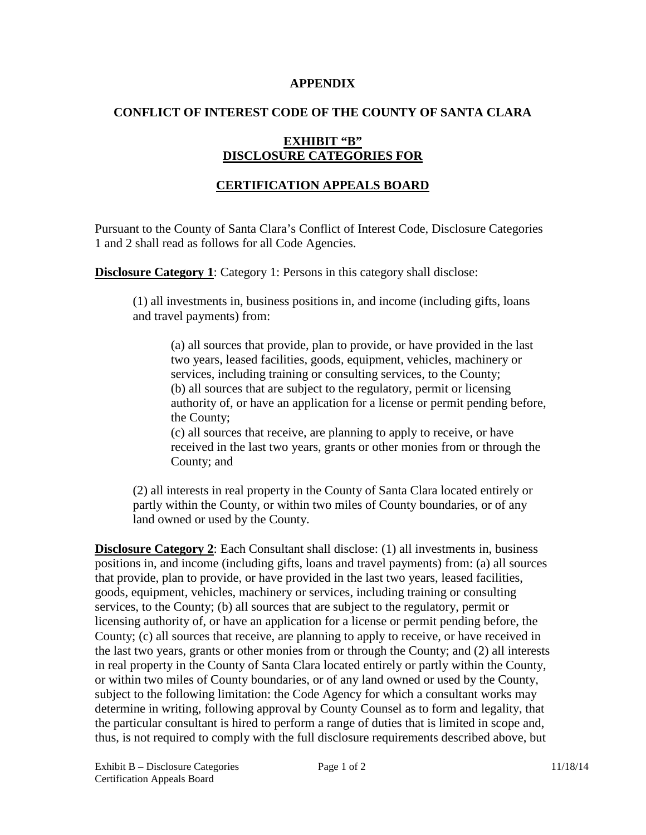#### **APPENDIX**

### **CONFLICT OF INTEREST CODE OF THE COUNTY OF SANTA CLARA**

## **EXHIBIT "B" DISCLOSURE CATEGORIES FOR**

## **CERTIFICATION APPEALS BOARD**

Pursuant to the County of Santa Clara's Conflict of Interest Code, Disclosure Categories 1 and 2 shall read as follows for all Code Agencies.

**Disclosure Category 1:** Category 1: Persons in this category shall disclose:

(1) all investments in, business positions in, and income (including gifts, loans and travel payments) from:

(a) all sources that provide, plan to provide, or have provided in the last two years, leased facilities, goods, equipment, vehicles, machinery or services, including training or consulting services, to the County; (b) all sources that are subject to the regulatory, permit or licensing authority of, or have an application for a license or permit pending before, the County;

(c) all sources that receive, are planning to apply to receive, or have received in the last two years, grants or other monies from or through the County; and

(2) all interests in real property in the County of Santa Clara located entirely or partly within the County, or within two miles of County boundaries, or of any land owned or used by the County.

**Disclosure Category 2**: Each Consultant shall disclose: (1) all investments in, business positions in, and income (including gifts, loans and travel payments) from: (a) all sources that provide, plan to provide, or have provided in the last two years, leased facilities, goods, equipment, vehicles, machinery or services, including training or consulting services, to the County; (b) all sources that are subject to the regulatory, permit or licensing authority of, or have an application for a license or permit pending before, the County; (c) all sources that receive, are planning to apply to receive, or have received in the last two years, grants or other monies from or through the County; and (2) all interests in real property in the County of Santa Clara located entirely or partly within the County, or within two miles of County boundaries, or of any land owned or used by the County, subject to the following limitation: the Code Agency for which a consultant works may determine in writing, following approval by County Counsel as to form and legality, that the particular consultant is hired to perform a range of duties that is limited in scope and, thus, is not required to comply with the full disclosure requirements described above, but